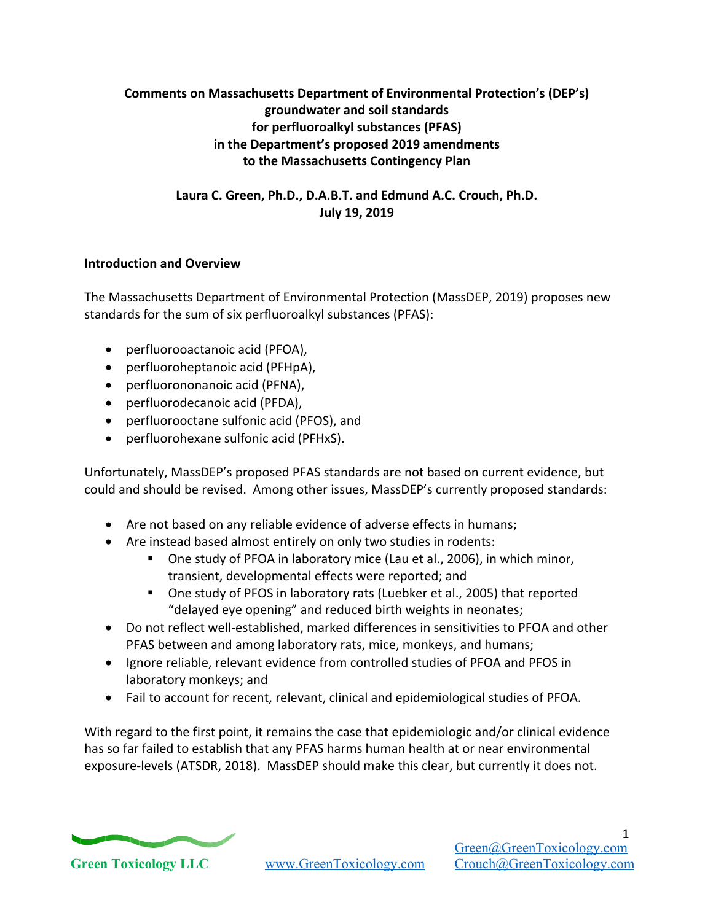# **Comments on Massachusetts Department of Environmental Protection's (DEP's) groundwater and soil standards for perfluoroalkyl substances (PFAS) in the Department's proposed 2019 amendments to the Massachusetts Contingency Plan**

**Laura C. Green, Ph.D., D.A.B.T. and Edmund A.C. Crouch, Ph.D. July 19, 2019**

# **Introduction and Overview**

The Massachusetts Department of Environmental Protection (MassDEP, 2019) proposes new standards for the sum of six perfluoroalkyl substances (PFAS):

- perfluorooactanoic acid (PFOA),
- perfluoroheptanoic acid (PFHpA),
- perfluorononanoic acid (PFNA),
- perfluorodecanoic acid (PFDA),
- perfluorooctane sulfonic acid (PFOS), and
- perfluorohexane sulfonic acid (PFHxS).

Unfortunately, MassDEP's proposed PFAS standards are not based on current evidence, but could and should be revised. Among other issues, MassDEP's currently proposed standards:

- Are not based on any reliable evidence of adverse effects in humans;
- Are instead based almost entirely on only two studies in rodents:
	- One study of PFOA in laboratory mice (Lau et al., 2006), in which minor, transient, developmental effects were reported; and
	- § One study of PFOS in laboratory rats (Luebker et al., 2005) that reported "delayed eye opening" and reduced birth weights in neonates;
- Do not reflect well-established, marked differences in sensitivities to PFOA and other PFAS between and among laboratory rats, mice, monkeys, and humans;
- Ignore reliable, relevant evidence from controlled studies of PFOA and PFOS in laboratory monkeys; and
- Fail to account for recent, relevant, clinical and epidemiological studies of PFOA.

With regard to the first point, it remains the case that epidemiologic and/or clinical evidence has so far failed to establish that any PFAS harms human health at or near environmental exposure-levels (ATSDR, 2018). MassDEP should make this clear, but currently it does not.



1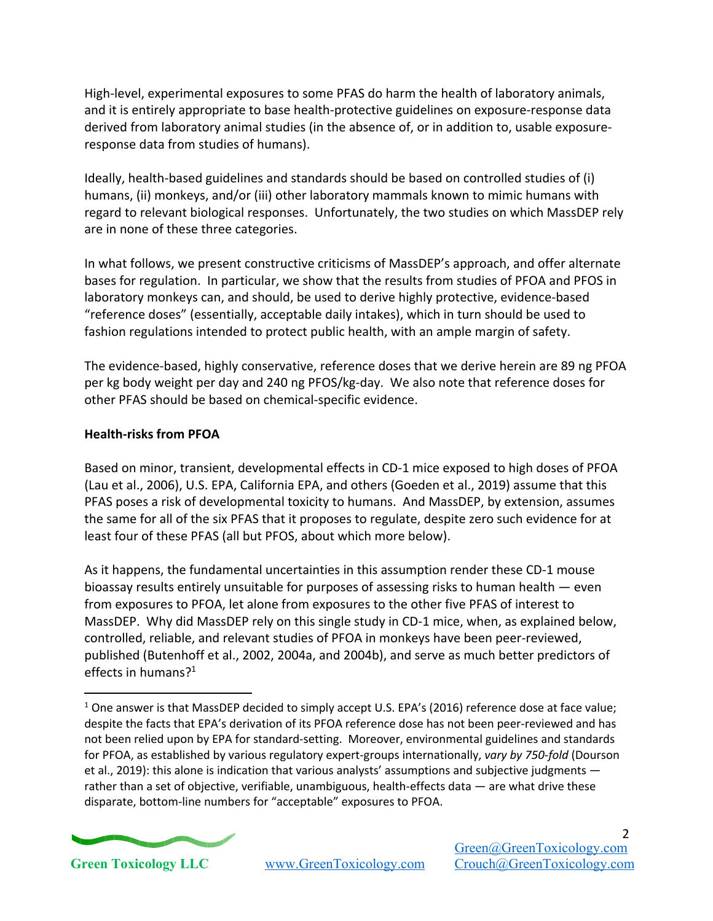High-level, experimental exposures to some PFAS do harm the health of laboratory animals, and it is entirely appropriate to base health-protective guidelines on exposure-response data derived from laboratory animal studies (in the absence of, or in addition to, usable exposureresponse data from studies of humans).

Ideally, health-based guidelines and standards should be based on controlled studies of (i) humans, (ii) monkeys, and/or (iii) other laboratory mammals known to mimic humans with regard to relevant biological responses. Unfortunately, the two studies on which MassDEP rely are in none of these three categories.

In what follows, we present constructive criticisms of MassDEP's approach, and offer alternate bases for regulation. In particular, we show that the results from studies of PFOA and PFOS in laboratory monkeys can, and should, be used to derive highly protective, evidence-based "reference doses" (essentially, acceptable daily intakes), which in turn should be used to fashion regulations intended to protect public health, with an ample margin of safety.

The evidence-based, highly conservative, reference doses that we derive herein are 89 ng PFOA per kg body weight per day and 240 ng PFOS/kg-day. We also note that reference doses for other PFAS should be based on chemical-specific evidence.

## **Health-risks from PFOA**

Based on minor, transient, developmental effects in CD-1 mice exposed to high doses of PFOA (Lau et al., 2006), U.S. EPA, California EPA, and others (Goeden et al., 2019) assume that this PFAS poses a risk of developmental toxicity to humans. And MassDEP, by extension, assumes the same for all of the six PFAS that it proposes to regulate, despite zero such evidence for at least four of these PFAS (all but PFOS, about which more below).

As it happens, the fundamental uncertainties in this assumption render these CD-1 mouse bioassay results entirely unsuitable for purposes of assessing risks to human health — even from exposures to PFOA, let alone from exposures to the other five PFAS of interest to MassDEP. Why did MassDEP rely on this single study in CD-1 mice, when, as explained below, controlled, reliable, and relevant studies of PFOA in monkeys have been peer-reviewed, published (Butenhoff et al., 2002, 2004a, and 2004b), and serve as much better predictors of effects in humans?<sup>1</sup>

<sup>&</sup>lt;sup>1</sup> One answer is that MassDEP decided to simply accept U.S. EPA's (2016) reference dose at face value; despite the facts that EPA's derivation of its PFOA reference dose has not been peer-reviewed and has not been relied upon by EPA for standard-setting. Moreover, environmental guidelines and standards for PFOA, as established by various regulatory expert-groups internationally, *vary by 750-fold* (Dourson et al., 2019): this alone is indication that various analysts' assumptions and subjective judgments rather than a set of objective, verifiable, unambiguous, health-effects data — are what drive these disparate, bottom-line numbers for "acceptable" exposures to PFOA.

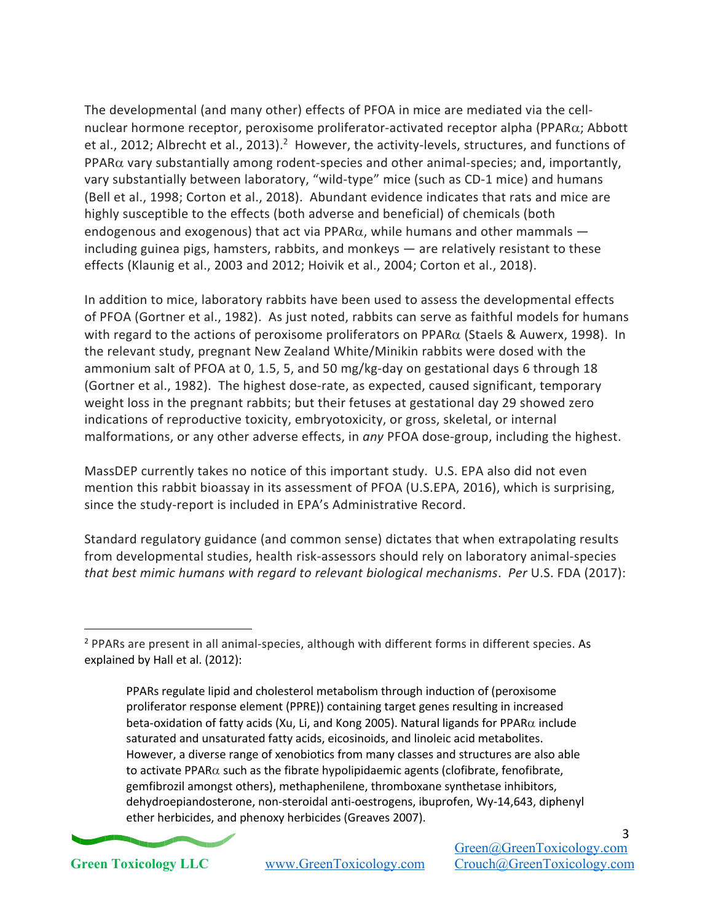The developmental (and many other) effects of PFOA in mice are mediated via the cellnuclear hormone receptor, peroxisome proliferator-activated receptor alpha (PPARa; Abbott et al., 2012; Albrecht et al., 2013).<sup>2</sup> However, the activity-levels, structures, and functions of  $PPAR\alpha$  vary substantially among rodent-species and other animal-species; and, importantly, vary substantially between laboratory, "wild-type" mice (such as CD-1 mice) and humans (Bell et al., 1998; Corton et al., 2018). Abundant evidence indicates that rats and mice are highly susceptible to the effects (both adverse and beneficial) of chemicals (both endogenous and exogenous) that act via PPAR $\alpha$ , while humans and other mammals  $$ including guinea pigs, hamsters, rabbits, and monkeys — are relatively resistant to these effects (Klaunig et al., 2003 and 2012; Hoivik et al., 2004; Corton et al., 2018).

In addition to mice, laboratory rabbits have been used to assess the developmental effects of PFOA (Gortner et al., 1982). As just noted, rabbits can serve as faithful models for humans with regard to the actions of peroxisome proliferators on PPAR $\alpha$  (Staels & Auwerx, 1998). In the relevant study, pregnant New Zealand White/Minikin rabbits were dosed with the ammonium salt of PFOA at 0, 1.5, 5, and 50 mg/kg-day on gestational days 6 through 18 (Gortner et al., 1982). The highest dose-rate, as expected, caused significant, temporary weight loss in the pregnant rabbits; but their fetuses at gestational day 29 showed zero indications of reproductive toxicity, embryotoxicity, or gross, skeletal, or internal malformations, or any other adverse effects, in *any* PFOA dose-group, including the highest.

MassDEP currently takes no notice of this important study. U.S. EPA also did not even mention this rabbit bioassay in its assessment of PFOA (U.S.EPA, 2016), which is surprising, since the study-report is included in EPA's Administrative Record.

Standard regulatory guidance (and common sense) dictates that when extrapolating results from developmental studies, health risk-assessors should rely on laboratory animal-species *that best mimic humans with regard to relevant biological mechanisms*. *Per* U.S. FDA (2017):

PPARs regulate lipid and cholesterol metabolism through induction of (peroxisome proliferator response element (PPRE)) containing target genes resulting in increased beta-oxidation of fatty acids (Xu, Li, and Kong 2005). Natural ligands for PPAR $\alpha$  include saturated and unsaturated fatty acids, eicosinoids, and linoleic acid metabolites. However, a diverse range of xenobiotics from many classes and structures are also able to activate PPAR $\alpha$  such as the fibrate hypolipidaemic agents (clofibrate, fenofibrate, gemfibrozil amongst others), methaphenilene, thromboxane synthetase inhibitors, dehydroepiandosterone, non-steroidal anti-oestrogens, ibuprofen, Wy-14,643, diphenyl ether herbicides, and phenoxy herbicides (Greaves 2007).



3

<sup>&</sup>lt;sup>2</sup> PPARs are present in all animal-species, although with different forms in different species. As explained by Hall et al. (2012):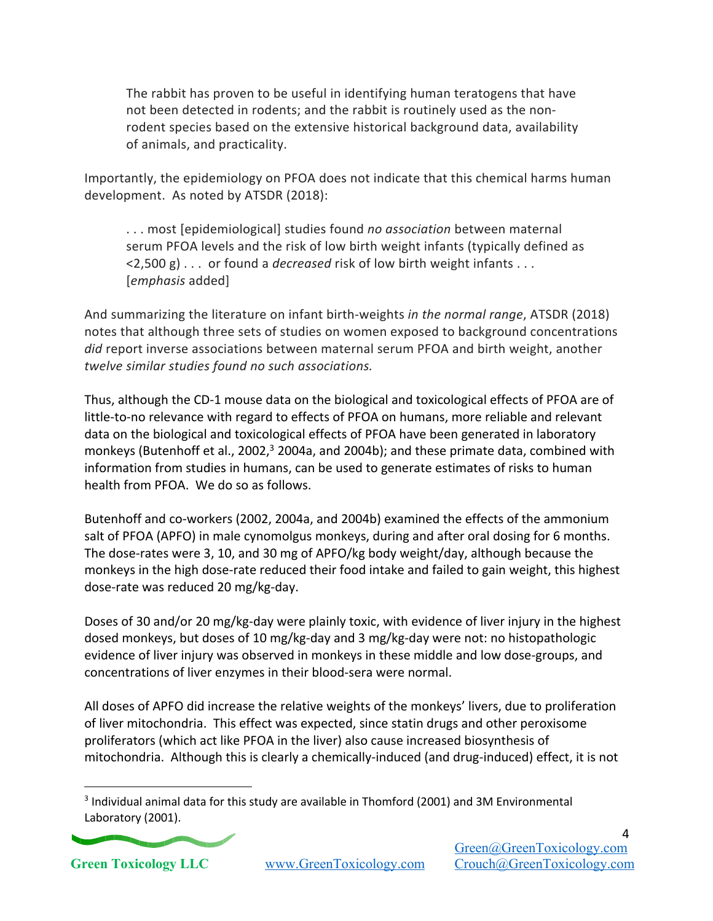The rabbit has proven to be useful in identifying human teratogens that have not been detected in rodents; and the rabbit is routinely used as the nonrodent species based on the extensive historical background data, availability of animals, and practicality.

Importantly, the epidemiology on PFOA does not indicate that this chemical harms human development. As noted by ATSDR (2018):

. . . most [epidemiological] studies found *no association* between maternal serum PFOA levels and the risk of low birth weight infants (typically defined as <2,500 g) . . . or found a *decreased* risk of low birth weight infants . . . [*emphasis* added]

And summarizing the literature on infant birth-weights *in the normal range*, ATSDR (2018) notes that although three sets of studies on women exposed to background concentrations *did* report inverse associations between maternal serum PFOA and birth weight, another *twelve similar studies found no such associations.*

Thus, although the CD-1 mouse data on the biological and toxicological effects of PFOA are of little-to-no relevance with regard to effects of PFOA on humans, more reliable and relevant data on the biological and toxicological effects of PFOA have been generated in laboratory monkeys (Butenhoff et al., 2002,<sup>3</sup> 2004a, and 2004b); and these primate data, combined with information from studies in humans, can be used to generate estimates of risks to human health from PFOA. We do so as follows.

Butenhoff and co-workers (2002, 2004a, and 2004b) examined the effects of the ammonium salt of PFOA (APFO) in male cynomolgus monkeys, during and after oral dosing for 6 months. The dose-rates were 3, 10, and 30 mg of APFO/kg body weight/day, although because the monkeys in the high dose-rate reduced their food intake and failed to gain weight, this highest dose-rate was reduced 20 mg/kg-day.

Doses of 30 and/or 20 mg/kg-day were plainly toxic, with evidence of liver injury in the highest dosed monkeys, but doses of 10 mg/kg-day and 3 mg/kg-day were not: no histopathologic evidence of liver injury was observed in monkeys in these middle and low dose-groups, and concentrations of liver enzymes in their blood-sera were normal.

All doses of APFO did increase the relative weights of the monkeys' livers, due to proliferation of liver mitochondria. This effect was expected, since statin drugs and other peroxisome proliferators (which act like PFOA in the liver) also cause increased biosynthesis of mitochondria. Although this is clearly a chemically-induced (and drug-induced) effect, it is not

 <sup>3</sup> Individual animal data for this study are available in Thomford (2001) and 3M Environmental Laboratory (2001).

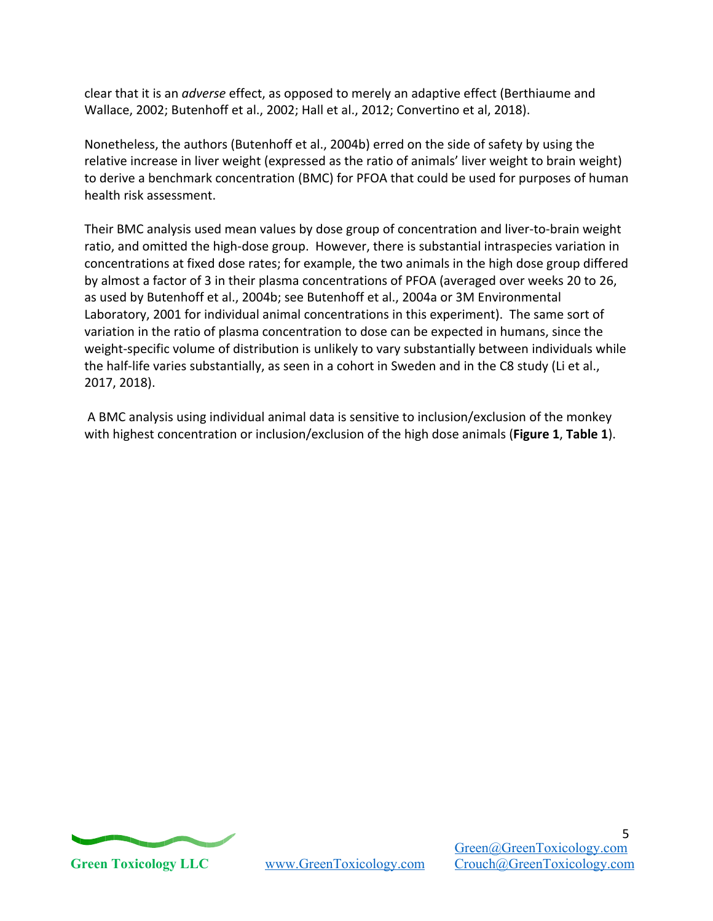clear that it is an *adverse* effect, as opposed to merely an adaptive effect (Berthiaume and Wallace, 2002; Butenhoff et al., 2002; Hall et al., 2012; Convertino et al, 2018).

Nonetheless, the authors (Butenhoff et al., 2004b) erred on the side of safety by using the relative increase in liver weight (expressed as the ratio of animals' liver weight to brain weight) to derive a benchmark concentration (BMC) for PFOA that could be used for purposes of human health risk assessment.

Their BMC analysis used mean values by dose group of concentration and liver-to-brain weight ratio, and omitted the high-dose group. However, there is substantial intraspecies variation in concentrations at fixed dose rates; for example, the two animals in the high dose group differed by almost a factor of 3 in their plasma concentrations of PFOA (averaged over weeks 20 to 26, as used by Butenhoff et al., 2004b; see Butenhoff et al., 2004a or 3M Environmental Laboratory, 2001 for individual animal concentrations in this experiment). The same sort of variation in the ratio of plasma concentration to dose can be expected in humans, since the weight-specific volume of distribution is unlikely to vary substantially between individuals while the half-life varies substantially, as seen in a cohort in Sweden and in the C8 study (Li et al., 2017, 2018).

A BMC analysis using individual animal data is sensitive to inclusion/exclusion of the monkey with highest concentration or inclusion/exclusion of the high dose animals (**Figure 1**, **Table 1**).

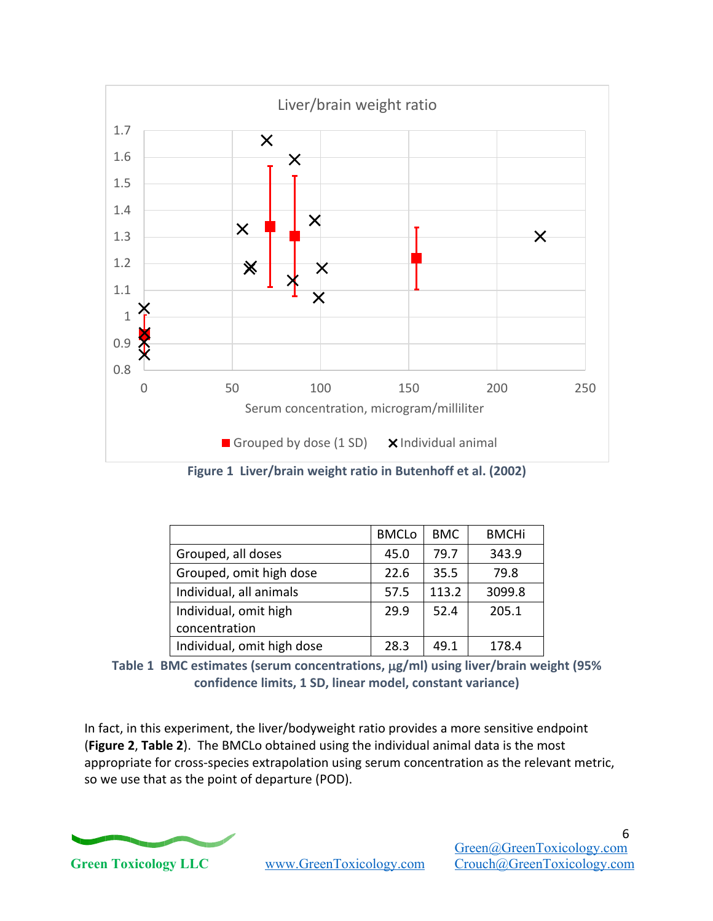

**Figure 1 Liver/brain weight ratio in Butenhoff et al. (2002)**

|                            | <b>BMCLo</b> | BMC.  | <b>BMCHi</b> |
|----------------------------|--------------|-------|--------------|
| Grouped, all doses         | 45.0         | 79.7  | 343.9        |
| Grouped, omit high dose    | 22.6         | 35.5  | 79.8         |
| Individual, all animals    | 57.5         | 113.2 | 3099.8       |
| Individual, omit high      | 29.9         | 52.4  | 205.1        |
| concentration              |              |       |              |
| Individual, omit high dose | 28.3         | 49.1  | 178.4        |

| Table 1 BMC estimates (serum concentrations, µg/ml) using liver/brain weight (95% |
|-----------------------------------------------------------------------------------|
| confidence limits, 1 SD, linear model, constant variance)                         |

In fact, in this experiment, the liver/bodyweight ratio provides a more sensitive endpoint (**Figure 2**, **Table 2**). The BMCLo obtained using the individual animal data is the most appropriate for cross-species extrapolation using serum concentration as the relevant metric, so we use that as the point of departure (POD).



6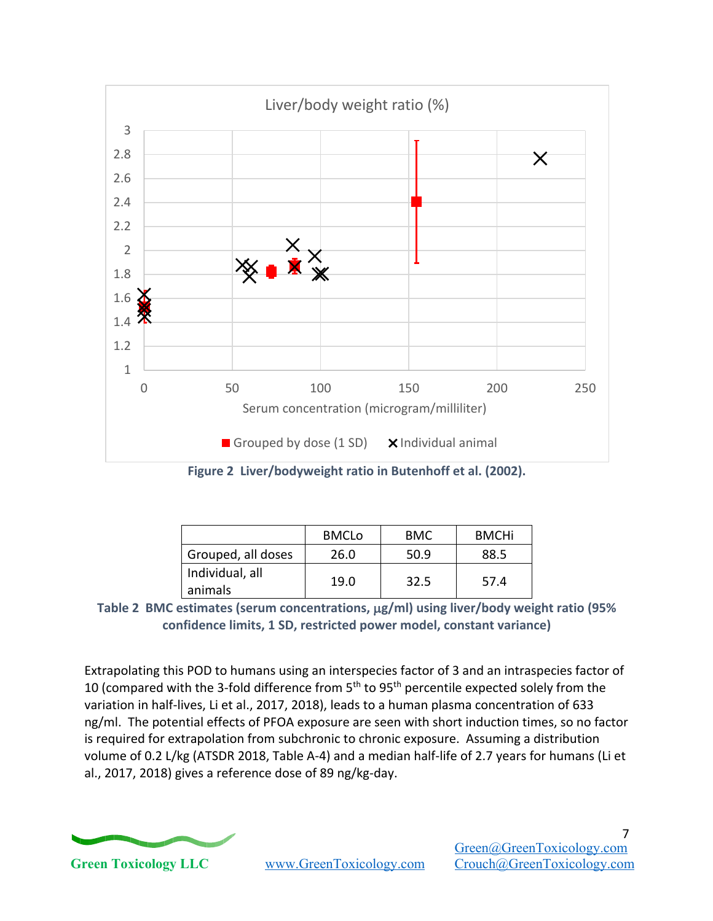

**Figure 2 Liver/bodyweight ratio in Butenhoff et al. (2002).**

|                            | <b>BMCLo</b> | <b>BMC</b> | <b>BMCHi</b> |
|----------------------------|--------------|------------|--------------|
| Grouped, all doses         | 26.0         | 50.9       | 88.5         |
| Individual, all<br>animals | 19.0         | 32.5       | 57.4         |

Table 2 BMC estimates (serum concentrations,  $\mu$ g/ml) using liver/body weight ratio (95% **confidence limits, 1 SD, restricted power model, constant variance)**

Extrapolating this POD to humans using an interspecies factor of 3 and an intraspecies factor of 10 (compared with the 3-fold difference from 5<sup>th</sup> to 95<sup>th</sup> percentile expected solely from the variation in half-lives, Li et al., 2017, 2018), leads to a human plasma concentration of 633 ng/ml. The potential effects of PFOA exposure are seen with short induction times, so no factor is required for extrapolation from subchronic to chronic exposure. Assuming a distribution volume of 0.2 L/kg (ATSDR 2018, Table A-4) and a median half-life of 2.7 years for humans (Li et al., 2017, 2018) gives a reference dose of 89 ng/kg-day.

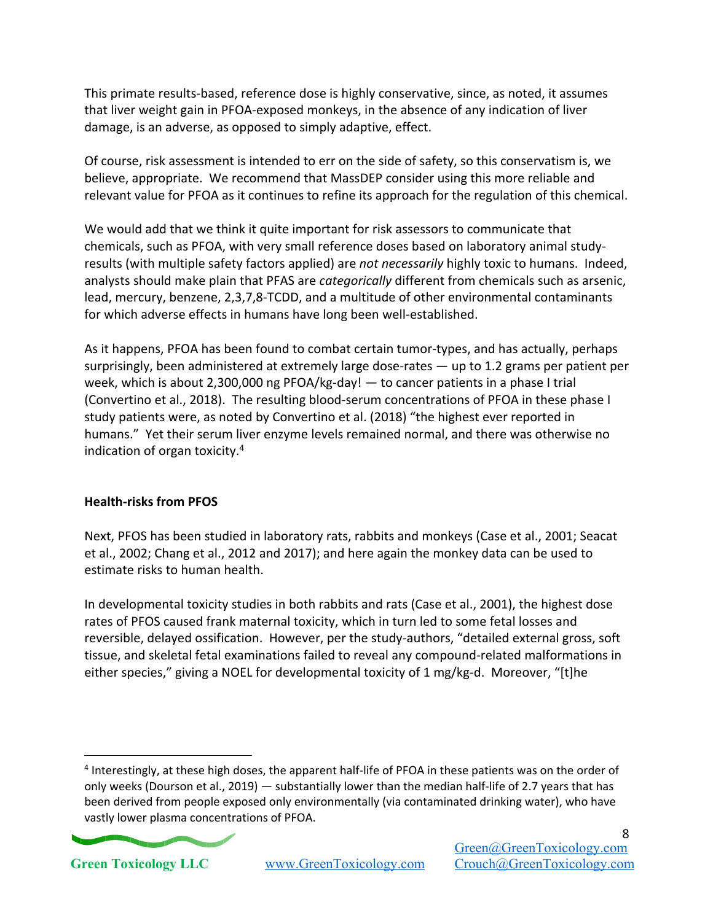This primate results-based, reference dose is highly conservative, since, as noted, it assumes that liver weight gain in PFOA-exposed monkeys, in the absence of any indication of liver damage, is an adverse, as opposed to simply adaptive, effect.

Of course, risk assessment is intended to err on the side of safety, so this conservatism is, we believe, appropriate. We recommend that MassDEP consider using this more reliable and relevant value for PFOA as it continues to refine its approach for the regulation of this chemical.

We would add that we think it quite important for risk assessors to communicate that chemicals, such as PFOA, with very small reference doses based on laboratory animal studyresults (with multiple safety factors applied) are *not necessarily* highly toxic to humans. Indeed, analysts should make plain that PFAS are *categorically* different from chemicals such as arsenic, lead, mercury, benzene, 2,3,7,8-TCDD, and a multitude of other environmental contaminants for which adverse effects in humans have long been well-established.

As it happens, PFOA has been found to combat certain tumor-types, and has actually, perhaps surprisingly, been administered at extremely large dose-rates — up to 1.2 grams per patient per week, which is about 2,300,000 ng PFOA/kg-day! — to cancer patients in a phase I trial (Convertino et al., 2018). The resulting blood-serum concentrations of PFOA in these phase I study patients were, as noted by Convertino et al. (2018) "the highest ever reported in humans." Yet their serum liver enzyme levels remained normal, and there was otherwise no indication of organ toxicity.4

# **Health-risks from PFOS**

Next, PFOS has been studied in laboratory rats, rabbits and monkeys (Case et al., 2001; Seacat et al., 2002; Chang et al., 2012 and 2017); and here again the monkey data can be used to estimate risks to human health.

In developmental toxicity studies in both rabbits and rats (Case et al., 2001), the highest dose rates of PFOS caused frank maternal toxicity, which in turn led to some fetal losses and reversible, delayed ossification. However, per the study-authors, "detailed external gross, soft tissue, and skeletal fetal examinations failed to reveal any compound-related malformations in either species," giving a NOEL for developmental toxicity of 1 mg/kg-d. Moreover, "[t]he

 <sup>4</sup> Interestingly, at these high doses, the apparent half-life of PFOA in these patients was on the order of only weeks (Dourson et al., 2019) — substantially lower than the median half-life of 2.7 years that has been derived from people exposed only environmentally (via contaminated drinking water), who have vastly lower plasma concentrations of PFOA.

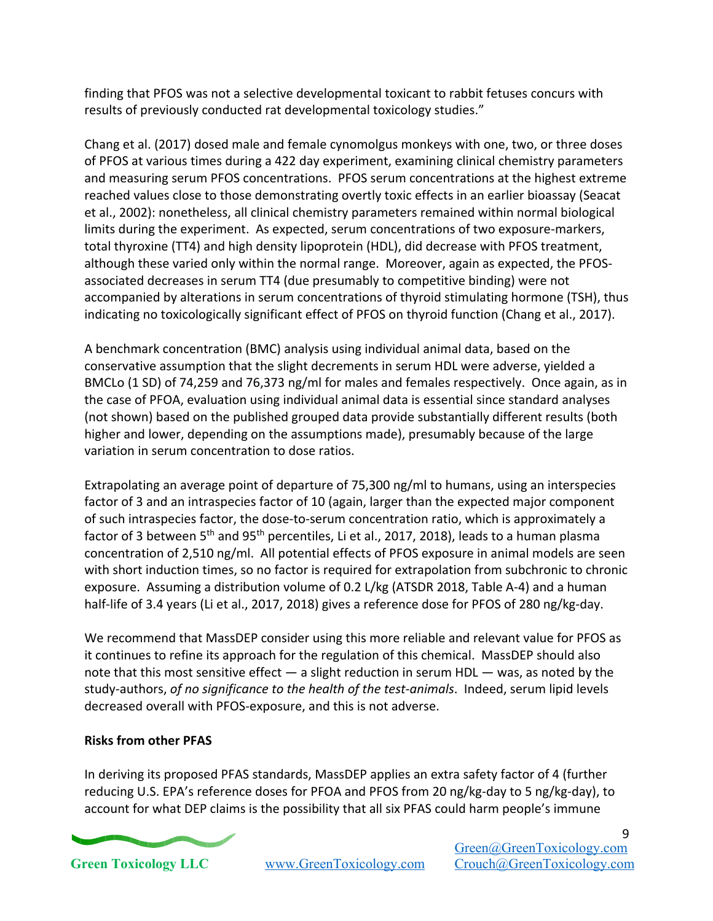finding that PFOS was not a selective developmental toxicant to rabbit fetuses concurs with results of previously conducted rat developmental toxicology studies."

Chang et al. (2017) dosed male and female cynomolgus monkeys with one, two, or three doses of PFOS at various times during a 422 day experiment, examining clinical chemistry parameters and measuring serum PFOS concentrations. PFOS serum concentrations at the highest extreme reached values close to those demonstrating overtly toxic effects in an earlier bioassay (Seacat et al., 2002): nonetheless, all clinical chemistry parameters remained within normal biological limits during the experiment. As expected, serum concentrations of two exposure-markers, total thyroxine (TT4) and high density lipoprotein (HDL), did decrease with PFOS treatment, although these varied only within the normal range. Moreover, again as expected, the PFOSassociated decreases in serum TT4 (due presumably to competitive binding) were not accompanied by alterations in serum concentrations of thyroid stimulating hormone (TSH), thus indicating no toxicologically significant effect of PFOS on thyroid function (Chang et al., 2017).

A benchmark concentration (BMC) analysis using individual animal data, based on the conservative assumption that the slight decrements in serum HDL were adverse, yielded a BMCLo (1 SD) of 74,259 and 76,373 ng/ml for males and females respectively. Once again, as in the case of PFOA, evaluation using individual animal data is essential since standard analyses (not shown) based on the published grouped data provide substantially different results (both higher and lower, depending on the assumptions made), presumably because of the large variation in serum concentration to dose ratios.

Extrapolating an average point of departure of 75,300 ng/ml to humans, using an interspecies factor of 3 and an intraspecies factor of 10 (again, larger than the expected major component of such intraspecies factor, the dose-to-serum concentration ratio, which is approximately a factor of 3 between 5<sup>th</sup> and 95<sup>th</sup> percentiles, Li et al., 2017, 2018), leads to a human plasma concentration of 2,510 ng/ml. All potential effects of PFOS exposure in animal models are seen with short induction times, so no factor is required for extrapolation from subchronic to chronic exposure. Assuming a distribution volume of 0.2 L/kg (ATSDR 2018, Table A-4) and a human half-life of 3.4 years (Li et al., 2017, 2018) gives a reference dose for PFOS of 280 ng/kg-day.

We recommend that MassDEP consider using this more reliable and relevant value for PFOS as it continues to refine its approach for the regulation of this chemical. MassDEP should also note that this most sensitive effect  $-$  a slight reduction in serum HDL  $-$  was, as noted by the study-authors, *of no significance to the health of the test-animals*. Indeed, serum lipid levels decreased overall with PFOS-exposure, and this is not adverse.

#### **Risks from other PFAS**

In deriving its proposed PFAS standards, MassDEP applies an extra safety factor of 4 (further reducing U.S. EPA's reference doses for PFOA and PFOS from 20 ng/kg-day to 5 ng/kg-day), to account for what DEP claims is the possibility that all six PFAS could harm people's immune

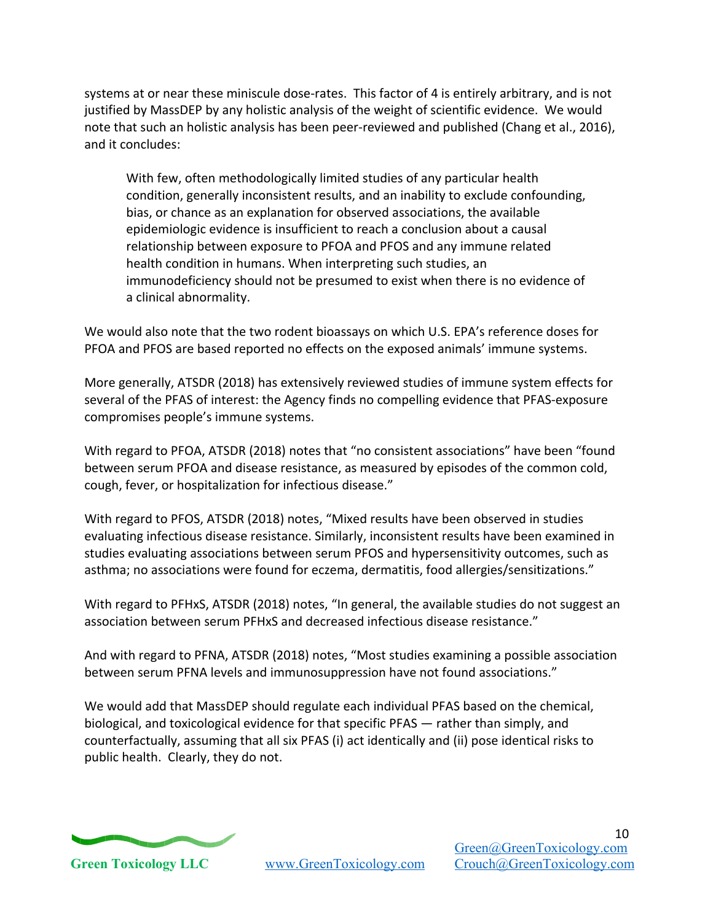systems at or near these miniscule dose-rates. This factor of 4 is entirely arbitrary, and is not justified by MassDEP by any holistic analysis of the weight of scientific evidence. We would note that such an holistic analysis has been peer-reviewed and published (Chang et al., 2016), and it concludes:

With few, often methodologically limited studies of any particular health condition, generally inconsistent results, and an inability to exclude confounding, bias, or chance as an explanation for observed associations, the available epidemiologic evidence is insufficient to reach a conclusion about a causal relationship between exposure to PFOA and PFOS and any immune related health condition in humans. When interpreting such studies, an immunodeficiency should not be presumed to exist when there is no evidence of a clinical abnormality.

We would also note that the two rodent bioassays on which U.S. EPA's reference doses for PFOA and PFOS are based reported no effects on the exposed animals' immune systems.

More generally, ATSDR (2018) has extensively reviewed studies of immune system effects for several of the PFAS of interest: the Agency finds no compelling evidence that PFAS-exposure compromises people's immune systems.

With regard to PFOA, ATSDR (2018) notes that "no consistent associations" have been "found between serum PFOA and disease resistance, as measured by episodes of the common cold, cough, fever, or hospitalization for infectious disease."

With regard to PFOS, ATSDR (2018) notes, "Mixed results have been observed in studies evaluating infectious disease resistance. Similarly, inconsistent results have been examined in studies evaluating associations between serum PFOS and hypersensitivity outcomes, such as asthma; no associations were found for eczema, dermatitis, food allergies/sensitizations."

With regard to PFHxS, ATSDR (2018) notes, "In general, the available studies do not suggest an association between serum PFHxS and decreased infectious disease resistance."

And with regard to PFNA, ATSDR (2018) notes, "Most studies examining a possible association between serum PFNA levels and immunosuppression have not found associations."

We would add that MassDEP should regulate each individual PFAS based on the chemical, biological, and toxicological evidence for that specific PFAS — rather than simply, and counterfactually, assuming that all six PFAS (i) act identically and (ii) pose identical risks to public health. Clearly, they do not.

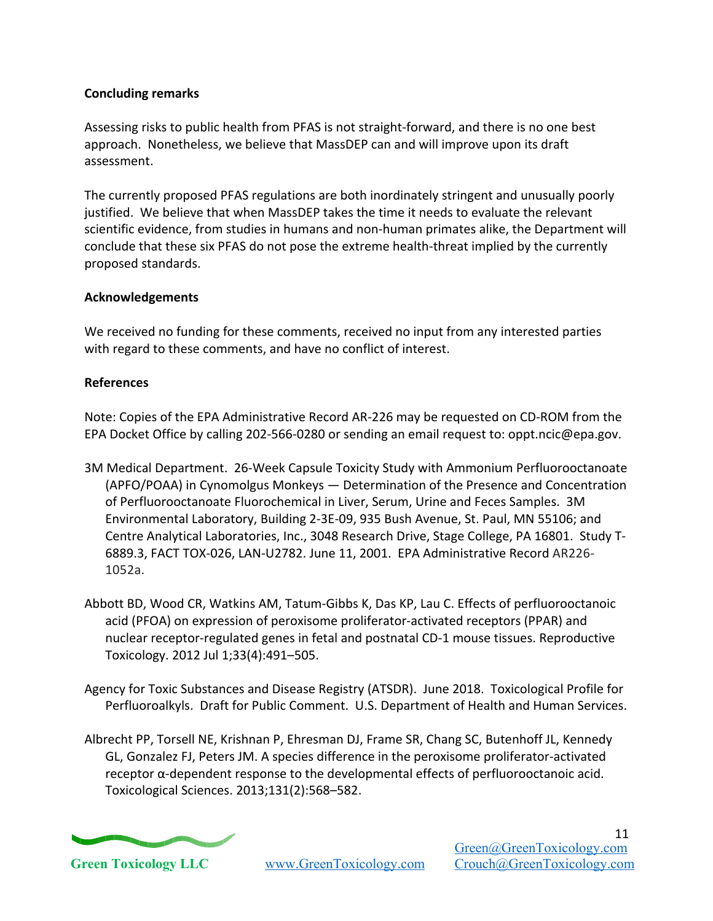## **Concluding remarks**

Assessing risks to public health from PFAS is not straight-forward, and there is no one best approach. Nonetheless, we believe that MassDEP can and will improve upon its draft assessment.

The currently proposed PFAS regulations are both inordinately stringent and unusually poorly justified. We believe that when MassDEP takes the time it needs to evaluate the relevant scientific evidence, from studies in humans and non-human primates alike, the Department will conclude that these six PFAS do not pose the extreme health-threat implied by the currently proposed standards.

#### **Acknowledgements**

We received no funding for these comments, received no input from any interested parties with regard to these comments, and have no conflict of interest.

## **References**

Note: Copies of the EPA Administrative Record AR-226 may be requested on CD-ROM from the EPA Docket Office by calling 202-566-0280 or sending an email request to: oppt.ncic@epa.gov.

- 3M Medical Department. 26-Week Capsule Toxicity Study with Ammonium Perfluorooctanoate (APFO/POAA) in Cynomolgus Monkeys — Determination of the Presence and Concentration of Perfluorooctanoate Fluorochemical in Liver, Serum, Urine and Feces Samples. 3M Environmental Laboratory, Building 2-3E-09, 935 Bush Avenue, St. Paul, MN 55106; and Centre Analytical Laboratories, Inc., 3048 Research Drive, Stage College, PA 16801. Study T-6889.3, FACT TOX-026, LAN-U2782. June 11, 2001. EPA Administrative Record AR226- 1052a.
- Abbott BD, Wood CR, Watkins AM, Tatum-Gibbs K, Das KP, Lau C. Effects of perfluorooctanoic acid (PFOA) on expression of peroxisome proliferator-activated receptors (PPAR) and nuclear receptor-regulated genes in fetal and postnatal CD-1 mouse tissues. Reproductive Toxicology. 2012 Jul 1;33(4):491–505.
- Agency for Toxic Substances and Disease Registry (ATSDR). June 2018. Toxicological Profile for Perfluoroalkyls. Draft for Public Comment. U.S. Department of Health and Human Services.
- Albrecht PP, Torsell NE, Krishnan P, Ehresman DJ, Frame SR, Chang SC, Butenhoff JL, Kennedy GL, Gonzalez FJ, Peters JM. A species difference in the peroxisome proliferator-activated receptor α-dependent response to the developmental effects of perfluorooctanoic acid. Toxicological Sciences. 2013;131(2):568–582.

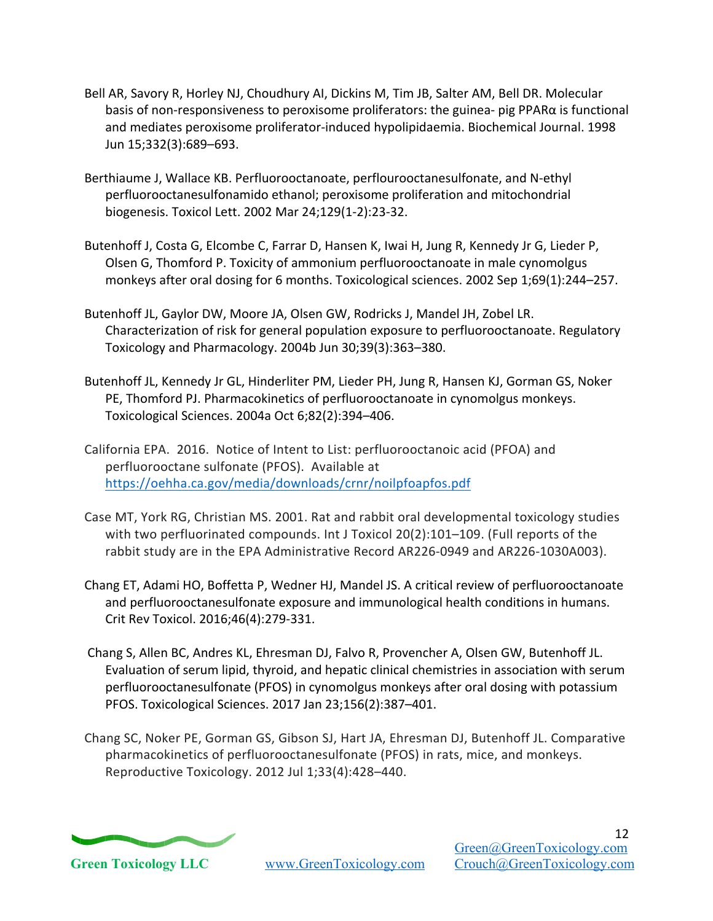- Bell AR, Savory R, Horley NJ, Choudhury AI, Dickins M, Tim JB, Salter AM, Bell DR. Molecular basis of non-responsiveness to peroxisome proliferators: the guinea- pig PPARα is functional and mediates peroxisome proliferator-induced hypolipidaemia. Biochemical Journal. 1998 Jun 15;332(3):689–693.
- Berthiaume J, Wallace KB. Perfluorooctanoate, perflourooctanesulfonate, and N-ethyl perfluorooctanesulfonamido ethanol; peroxisome proliferation and mitochondrial biogenesis. Toxicol Lett. 2002 Mar 24;129(1-2):23-32.
- Butenhoff J, Costa G, Elcombe C, Farrar D, Hansen K, Iwai H, Jung R, Kennedy Jr G, Lieder P, Olsen G, Thomford P. Toxicity of ammonium perfluorooctanoate in male cynomolgus monkeys after oral dosing for 6 months. Toxicological sciences. 2002 Sep 1;69(1):244–257.
- Butenhoff JL, Gaylor DW, Moore JA, Olsen GW, Rodricks J, Mandel JH, Zobel LR. Characterization of risk for general population exposure to perfluorooctanoate. Regulatory Toxicology and Pharmacology. 2004b Jun 30;39(3):363–380.
- Butenhoff JL, Kennedy Jr GL, Hinderliter PM, Lieder PH, Jung R, Hansen KJ, Gorman GS, Noker PE, Thomford PJ. Pharmacokinetics of perfluorooctanoate in cynomolgus monkeys. Toxicological Sciences. 2004a Oct 6;82(2):394–406.
- California EPA. 2016. Notice of Intent to List: perfluorooctanoic acid (PFOA) and perfluorooctane sulfonate (PFOS). Available at https://oehha.ca.gov/media/downloads/crnr/noilpfoapfos.pdf
- Case MT, York RG, Christian MS. 2001. Rat and rabbit oral developmental toxicology studies with two perfluorinated compounds. Int J Toxicol 20(2):101–109. (Full reports of the rabbit study are in the EPA Administrative Record AR226-0949 and AR226-1030A003).
- Chang ET, Adami HO, Boffetta P, Wedner HJ, Mandel JS. A critical review of perfluorooctanoate and perfluorooctanesulfonate exposure and immunological health conditions in humans. Crit Rev Toxicol. 2016;46(4):279-331.
- Chang S, Allen BC, Andres KL, Ehresman DJ, Falvo R, Provencher A, Olsen GW, Butenhoff JL. Evaluation of serum lipid, thyroid, and hepatic clinical chemistries in association with serum perfluorooctanesulfonate (PFOS) in cynomolgus monkeys after oral dosing with potassium PFOS. Toxicological Sciences. 2017 Jan 23;156(2):387–401.
- Chang SC, Noker PE, Gorman GS, Gibson SJ, Hart JA, Ehresman DJ, Butenhoff JL. Comparative pharmacokinetics of perfluorooctanesulfonate (PFOS) in rats, mice, and monkeys. Reproductive Toxicology. 2012 Jul 1;33(4):428–440.

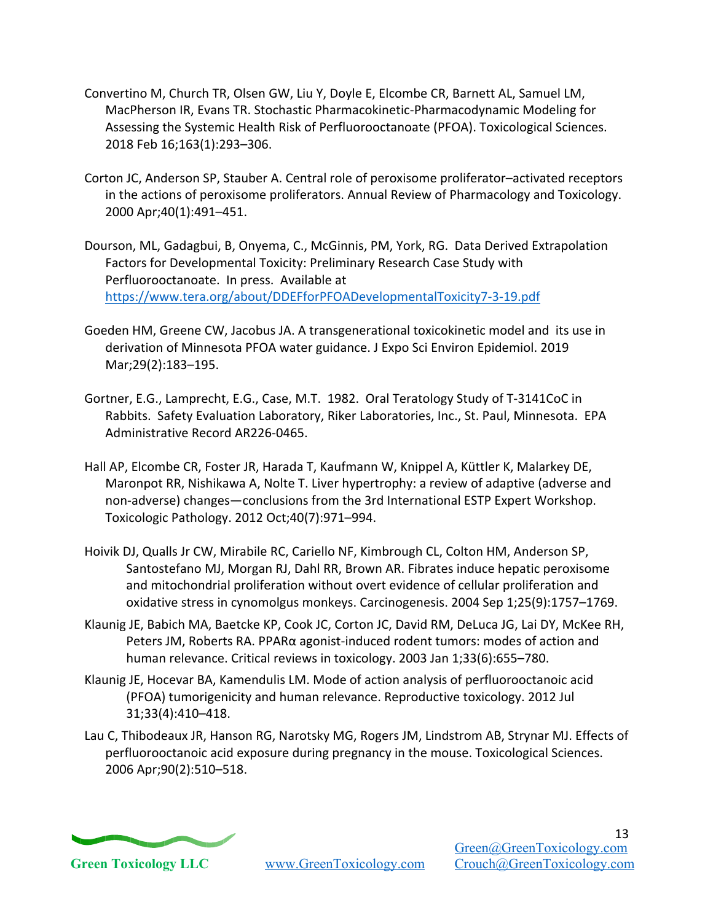- Convertino M, Church TR, Olsen GW, Liu Y, Doyle E, Elcombe CR, Barnett AL, Samuel LM, MacPherson IR, Evans TR. Stochastic Pharmacokinetic-Pharmacodynamic Modeling for Assessing the Systemic Health Risk of Perfluorooctanoate (PFOA). Toxicological Sciences. 2018 Feb 16;163(1):293–306.
- Corton JC, Anderson SP, Stauber A. Central role of peroxisome proliferator–activated receptors in the actions of peroxisome proliferators. Annual Review of Pharmacology and Toxicology. 2000 Apr;40(1):491–451.
- Dourson, ML, Gadagbui, B, Onyema, C., McGinnis, PM, York, RG. Data Derived Extrapolation Factors for Developmental Toxicity: Preliminary Research Case Study with Perfluorooctanoate. In press. Available at https://www.tera.org/about/DDEFforPFOADevelopmentalToxicity7-3-19.pdf
- Goeden HM, Greene CW, Jacobus JA. A transgenerational toxicokinetic model and its use in derivation of Minnesota PFOA water guidance. J Expo Sci Environ Epidemiol. 2019 Mar;29(2):183–195.
- Gortner, E.G., Lamprecht, E.G., Case, M.T. 1982. Oral Teratology Study of T-3141CoC in Rabbits. Safety Evaluation Laboratory, Riker Laboratories, Inc., St. Paul, Minnesota. EPA Administrative Record AR226-0465.
- Hall AP, Elcombe CR, Foster JR, Harada T, Kaufmann W, Knippel A, Küttler K, Malarkey DE, Maronpot RR, Nishikawa A, Nolte T. Liver hypertrophy: a review of adaptive (adverse and non-adverse) changes—conclusions from the 3rd International ESTP Expert Workshop. Toxicologic Pathology. 2012 Oct;40(7):971–994.
- Hoivik DJ, Qualls Jr CW, Mirabile RC, Cariello NF, Kimbrough CL, Colton HM, Anderson SP, Santostefano MJ, Morgan RJ, Dahl RR, Brown AR. Fibrates induce hepatic peroxisome and mitochondrial proliferation without overt evidence of cellular proliferation and oxidative stress in cynomolgus monkeys. Carcinogenesis. 2004 Sep 1;25(9):1757–1769.
- Klaunig JE, Babich MA, Baetcke KP, Cook JC, Corton JC, David RM, DeLuca JG, Lai DY, McKee RH, Peters JM, Roberts RA. PPARα agonist-induced rodent tumors: modes of action and human relevance. Critical reviews in toxicology. 2003 Jan 1;33(6):655–780.
- Klaunig JE, Hocevar BA, Kamendulis LM. Mode of action analysis of perfluorooctanoic acid (PFOA) tumorigenicity and human relevance. Reproductive toxicology. 2012 Jul 31;33(4):410–418.
- Lau C, Thibodeaux JR, Hanson RG, Narotsky MG, Rogers JM, Lindstrom AB, Strynar MJ. Effects of perfluorooctanoic acid exposure during pregnancy in the mouse. Toxicological Sciences. 2006 Apr;90(2):510–518.